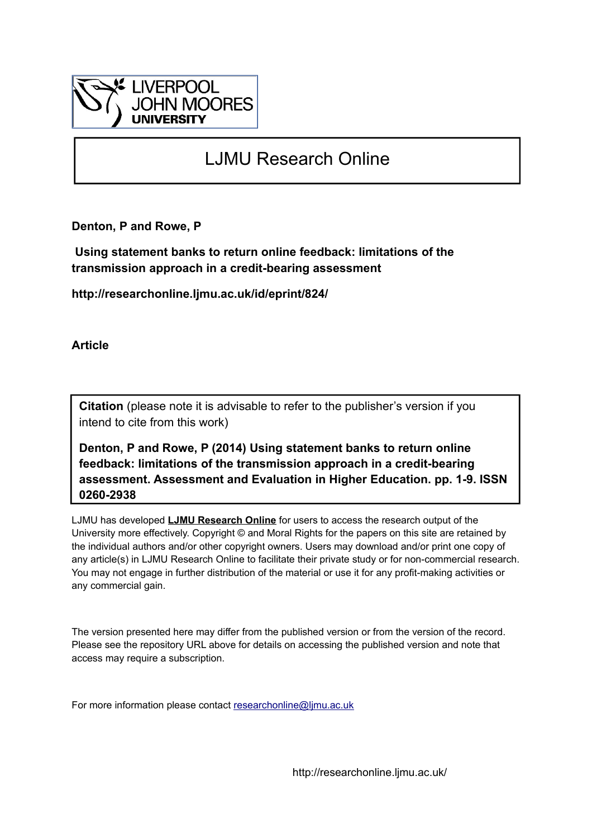

# LJMU Research Online

**Denton, P and Rowe, P**

 **Using statement banks to return online feedback: limitations of the transmission approach in a credit-bearing assessment**

**http://researchonline.ljmu.ac.uk/id/eprint/824/**

**Article**

**Citation** (please note it is advisable to refer to the publisher's version if you intend to cite from this work)

**Denton, P and Rowe, P (2014) Using statement banks to return online feedback: limitations of the transmission approach in a credit-bearing assessment. Assessment and Evaluation in Higher Education. pp. 1-9. ISSN 0260-2938** 

LJMU has developed **[LJMU Research Online](http://researchonline.ljmu.ac.uk/)** for users to access the research output of the University more effectively. Copyright © and Moral Rights for the papers on this site are retained by the individual authors and/or other copyright owners. Users may download and/or print one copy of any article(s) in LJMU Research Online to facilitate their private study or for non-commercial research. You may not engage in further distribution of the material or use it for any profit-making activities or any commercial gain.

The version presented here may differ from the published version or from the version of the record. Please see the repository URL above for details on accessing the published version and note that access may require a subscription.

For more information please contact [researchonline@ljmu.ac.uk](mailto:researchonline@ljmu.ac.uk)

http://researchonline.ljmu.ac.uk/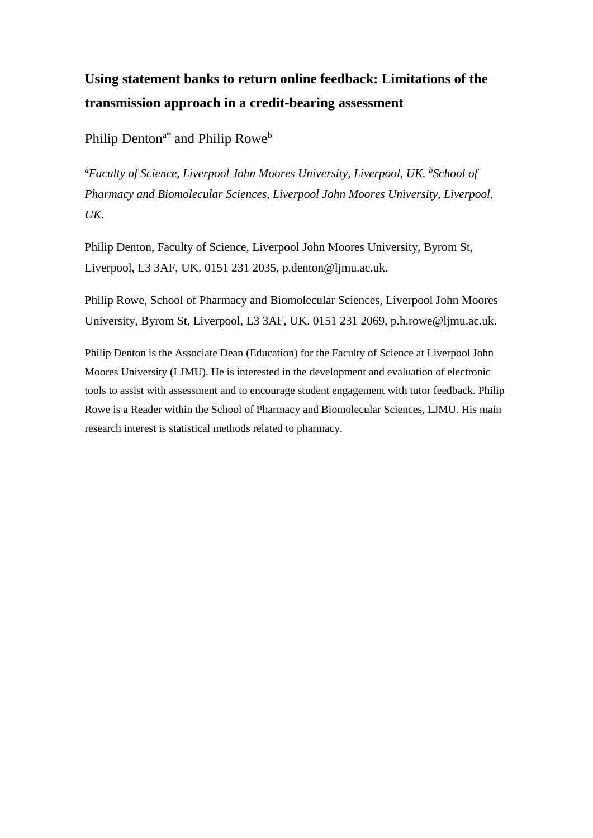## **Using statement banks to return online feedback: Limitations of the transmission approach in a credit-bearing assessment**

Philip Denton<sup>a\*</sup> and Philip Rowe<sup>b</sup>

<sup>a</sup>Faculty of Science, Liverpool John Moores University, Liverpool, UK. <sup>b</sup>School of *Pharmacy and Biomolecular Sciences, Liverpool John Moores University, Liverpool, UK.*

Philip Denton, Faculty of Science, Liverpool John Moores University, Byrom St, Liverpool, L3 3AF, UK. 0151 231 2035, p.denton@ljmu.ac.uk.

Philip Rowe, School of Pharmacy and Biomolecular Sciences, Liverpool John Moores University, Byrom St, Liverpool, L3 3AF, UK. 0151 231 2069, p.h.rowe@ljmu.ac.uk.

Philip Denton is the Associate Dean (Education) for the Faculty of Science at Liverpool John Moores University (LJMU). He is interested in the development and evaluation of electronic tools to assist with assessment and to encourage student engagement with tutor feedback. Philip Rowe is a Reader within the School of Pharmacy and Biomolecular Sciences, LJMU. His main research interest is statistical methods related to pharmacy.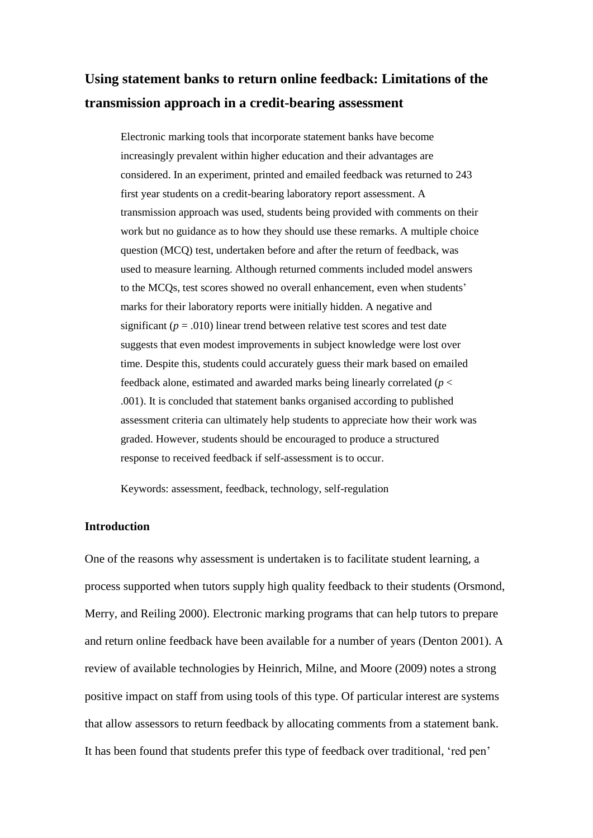## **Using statement banks to return online feedback: Limitations of the transmission approach in a credit-bearing assessment**

Electronic marking tools that incorporate statement banks have become increasingly prevalent within higher education and their advantages are considered. In an experiment, printed and emailed feedback was returned to 243 first year students on a credit-bearing laboratory report assessment. A transmission approach was used, students being provided with comments on their work but no guidance as to how they should use these remarks. A multiple choice question (MCQ) test, undertaken before and after the return of feedback, was used to measure learning. Although returned comments included model answers to the MCQs, test scores showed no overall enhancement, even when students' marks for their laboratory reports were initially hidden. A negative and significant  $(p = .010)$  linear trend between relative test scores and test date suggests that even modest improvements in subject knowledge were lost over time. Despite this, students could accurately guess their mark based on emailed feedback alone, estimated and awarded marks being linearly correlated (*p* < .001). It is concluded that statement banks organised according to published assessment criteria can ultimately help students to appreciate how their work was graded. However, students should be encouraged to produce a structured response to received feedback if self-assessment is to occur.

Keywords: assessment, feedback, technology, self-regulation

#### **Introduction**

One of the reasons why assessment is undertaken is to facilitate student learning, a process supported when tutors supply high quality feedback to their students (Orsmond, Merry, and Reiling 2000). Electronic marking programs that can help tutors to prepare and return online feedback have been available for a number of years (Denton 2001). A review of available technologies by Heinrich, Milne, and Moore (2009) notes a strong positive impact on staff from using tools of this type. Of particular interest are systems that allow assessors to return feedback by allocating comments from a statement bank. It has been found that students prefer this type of feedback over traditional, 'red pen'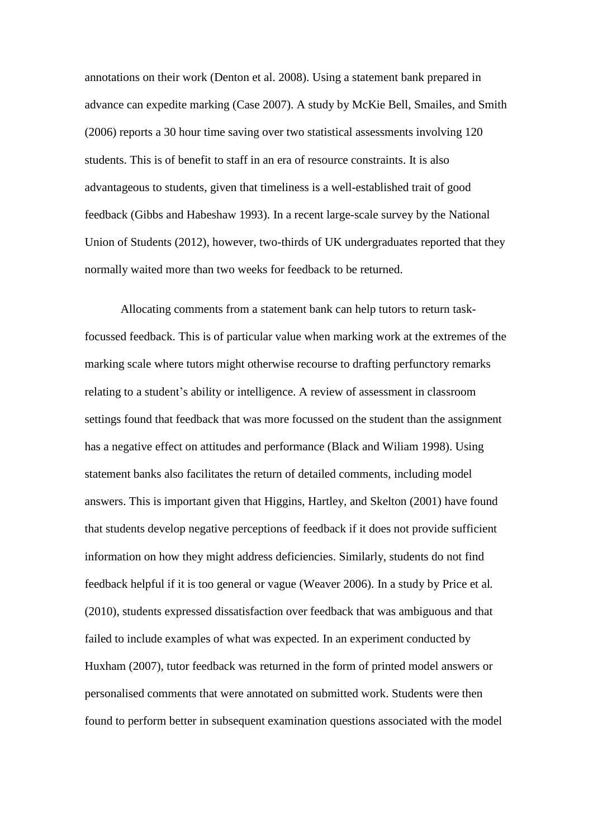annotations on their work (Denton et al. 2008). Using a statement bank prepared in advance can expedite marking (Case 2007). A study by McKie Bell, Smailes, and Smith (2006) reports a 30 hour time saving over two statistical assessments involving 120 students. This is of benefit to staff in an era of resource constraints. It is also advantageous to students, given that timeliness is a well-established trait of good feedback (Gibbs and Habeshaw 1993). In a recent large-scale survey by the National Union of Students (2012), however, two-thirds of UK undergraduates reported that they normally waited more than two weeks for feedback to be returned.

Allocating comments from a statement bank can help tutors to return taskfocussed feedback. This is of particular value when marking work at the extremes of the marking scale where tutors might otherwise recourse to drafting perfunctory remarks relating to a student's ability or intelligence. A review of assessment in classroom settings found that feedback that was more focussed on the student than the assignment has a negative effect on attitudes and performance (Black and Wiliam 1998). Using statement banks also facilitates the return of detailed comments, including model answers. This is important given that Higgins, Hartley, and Skelton (2001) have found that students develop negative perceptions of feedback if it does not provide sufficient information on how they might address deficiencies. Similarly, students do not find feedback helpful if it is too general or vague (Weaver 2006). In a study by Price et al*.* (2010), students expressed dissatisfaction over feedback that was ambiguous and that failed to include examples of what was expected. In an experiment conducted by Huxham (2007), tutor feedback was returned in the form of printed model answers or personalised comments that were annotated on submitted work. Students were then found to perform better in subsequent examination questions associated with the model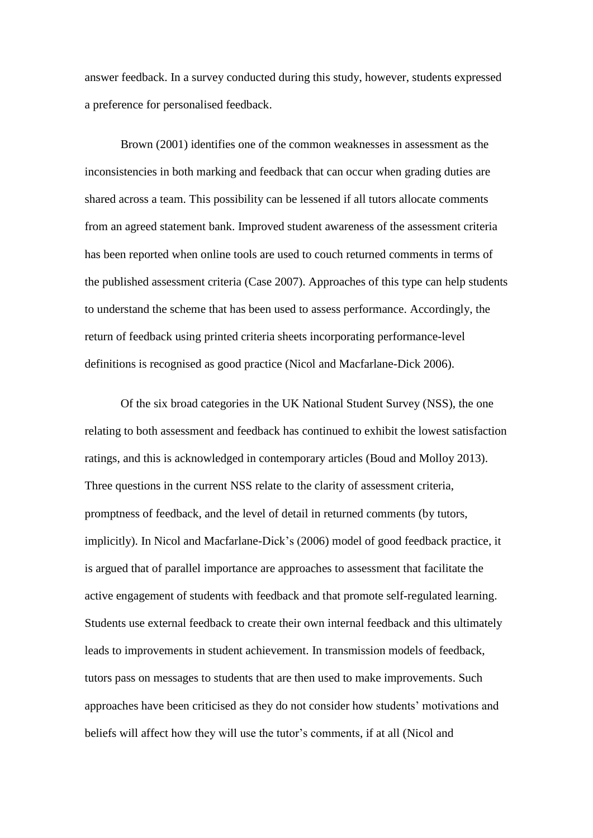answer feedback. In a survey conducted during this study, however, students expressed a preference for personalised feedback.

Brown (2001) identifies one of the common weaknesses in assessment as the inconsistencies in both marking and feedback that can occur when grading duties are shared across a team. This possibility can be lessened if all tutors allocate comments from an agreed statement bank. Improved student awareness of the assessment criteria has been reported when online tools are used to couch returned comments in terms of the published assessment criteria (Case 2007). Approaches of this type can help students to understand the scheme that has been used to assess performance. Accordingly, the return of feedback using printed criteria sheets incorporating performance-level definitions is recognised as good practice (Nicol and Macfarlane-Dick 2006).

Of the six broad categories in the UK National Student Survey (NSS), the one relating to both assessment and feedback has continued to exhibit the lowest satisfaction ratings, and this is acknowledged in contemporary articles (Boud and Molloy 2013). Three questions in the current NSS relate to the clarity of assessment criteria, promptness of feedback, and the level of detail in returned comments (by tutors, implicitly). In Nicol and Macfarlane-Dick's (2006) model of good feedback practice, it is argued that of parallel importance are approaches to assessment that facilitate the active engagement of students with feedback and that promote self-regulated learning. Students use external feedback to create their own internal feedback and this ultimately leads to improvements in student achievement. In transmission models of feedback, tutors pass on messages to students that are then used to make improvements. Such approaches have been criticised as they do not consider how students' motivations and beliefs will affect how they will use the tutor's comments, if at all (Nicol and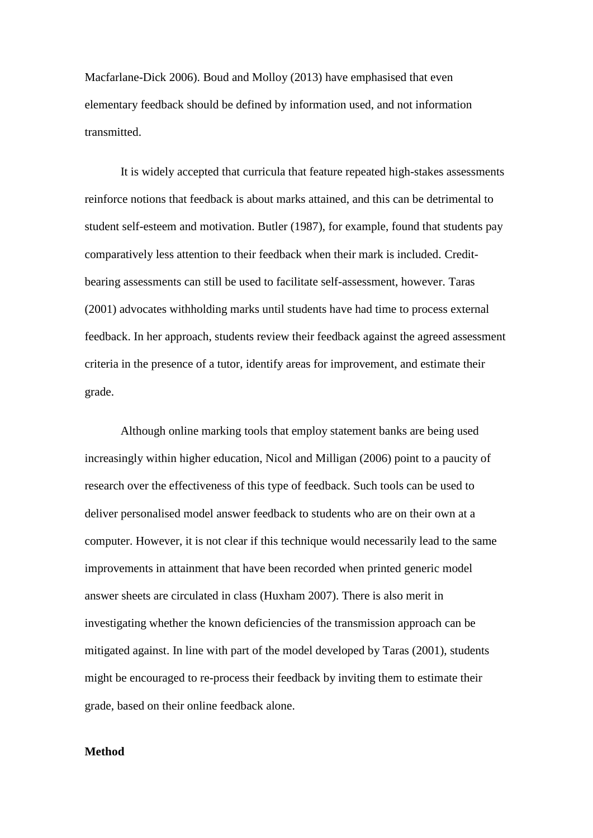Macfarlane-Dick 2006). Boud and Molloy (2013) have emphasised that even elementary feedback should be defined by information used, and not information transmitted.

It is widely accepted that curricula that feature repeated high-stakes assessments reinforce notions that feedback is about marks attained, and this can be detrimental to student self-esteem and motivation. Butler (1987), for example, found that students pay comparatively less attention to their feedback when their mark is included. Creditbearing assessments can still be used to facilitate self-assessment, however. Taras (2001) advocates withholding marks until students have had time to process external feedback. In her approach, students review their feedback against the agreed assessment criteria in the presence of a tutor, identify areas for improvement, and estimate their grade.

Although online marking tools that employ statement banks are being used increasingly within higher education, Nicol and Milligan (2006) point to a paucity of research over the effectiveness of this type of feedback. Such tools can be used to deliver personalised model answer feedback to students who are on their own at a computer. However, it is not clear if this technique would necessarily lead to the same improvements in attainment that have been recorded when printed generic model answer sheets are circulated in class (Huxham 2007). There is also merit in investigating whether the known deficiencies of the transmission approach can be mitigated against. In line with part of the model developed by Taras (2001), students might be encouraged to re-process their feedback by inviting them to estimate their grade, based on their online feedback alone.

### **Method**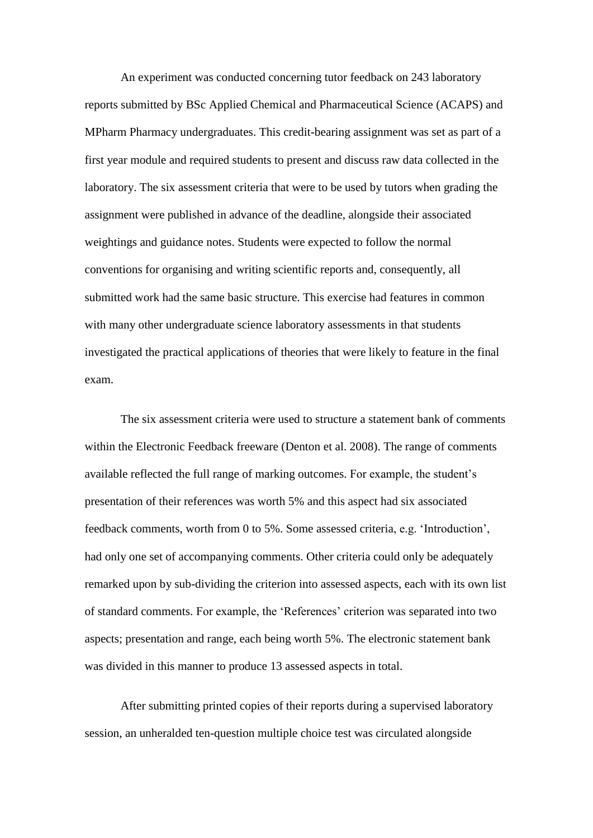An experiment was conducted concerning tutor feedback on 243 laboratory reports submitted by BSc Applied Chemical and Pharmaceutical Science (ACAPS) and MPharm Pharmacy undergraduates. This credit-bearing assignment was set as part of a first year module and required students to present and discuss raw data collected in the laboratory. The six assessment criteria that were to be used by tutors when grading the assignment were published in advance of the deadline, alongside their associated weightings and guidance notes. Students were expected to follow the normal conventions for organising and writing scientific reports and, consequently, all submitted work had the same basic structure. This exercise had features in common with many other undergraduate science laboratory assessments in that students investigated the practical applications of theories that were likely to feature in the final exam.

The six assessment criteria were used to structure a statement bank of comments within the Electronic Feedback freeware (Denton et al. 2008). The range of comments available reflected the full range of marking outcomes. For example, the student's presentation of their references was worth 5% and this aspect had six associated feedback comments, worth from 0 to 5%. Some assessed criteria, e.g. 'Introduction', had only one set of accompanying comments. Other criteria could only be adequately remarked upon by sub-dividing the criterion into assessed aspects, each with its own list of standard comments. For example, the 'References' criterion was separated into two aspects; presentation and range, each being worth 5%. The electronic statement bank was divided in this manner to produce 13 assessed aspects in total.

After submitting printed copies of their reports during a supervised laboratory session, an unheralded ten-question multiple choice test was circulated alongside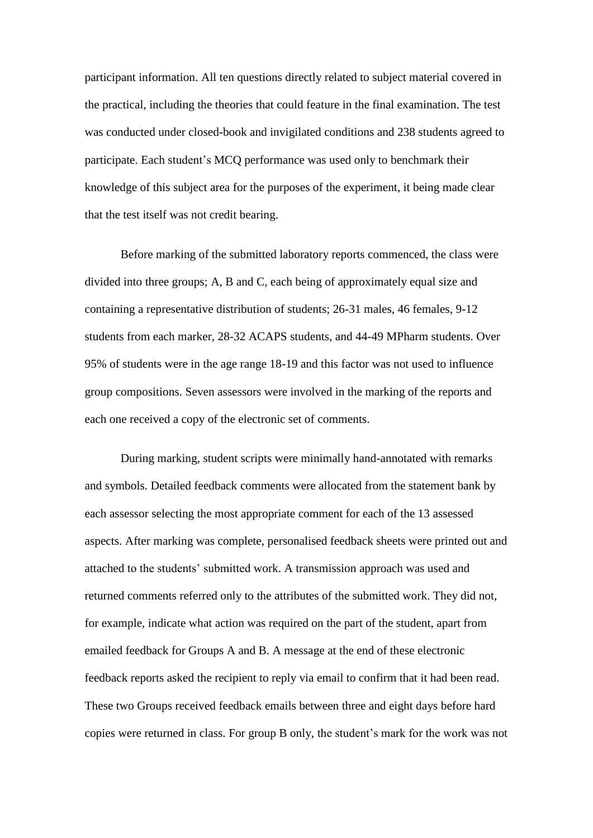participant information. All ten questions directly related to subject material covered in the practical, including the theories that could feature in the final examination. The test was conducted under closed-book and invigilated conditions and 238 students agreed to participate. Each student's MCQ performance was used only to benchmark their knowledge of this subject area for the purposes of the experiment, it being made clear that the test itself was not credit bearing.

Before marking of the submitted laboratory reports commenced, the class were divided into three groups; A, B and C, each being of approximately equal size and containing a representative distribution of students; 26-31 males, 46 females, 9-12 students from each marker, 28-32 ACAPS students, and 44-49 MPharm students. Over 95% of students were in the age range 18-19 and this factor was not used to influence group compositions. Seven assessors were involved in the marking of the reports and each one received a copy of the electronic set of comments.

During marking, student scripts were minimally hand-annotated with remarks and symbols. Detailed feedback comments were allocated from the statement bank by each assessor selecting the most appropriate comment for each of the 13 assessed aspects. After marking was complete, personalised feedback sheets were printed out and attached to the students' submitted work. A transmission approach was used and returned comments referred only to the attributes of the submitted work. They did not, for example, indicate what action was required on the part of the student, apart from emailed feedback for Groups A and B. A message at the end of these electronic feedback reports asked the recipient to reply via email to confirm that it had been read. These two Groups received feedback emails between three and eight days before hard copies were returned in class. For group B only, the student's mark for the work was not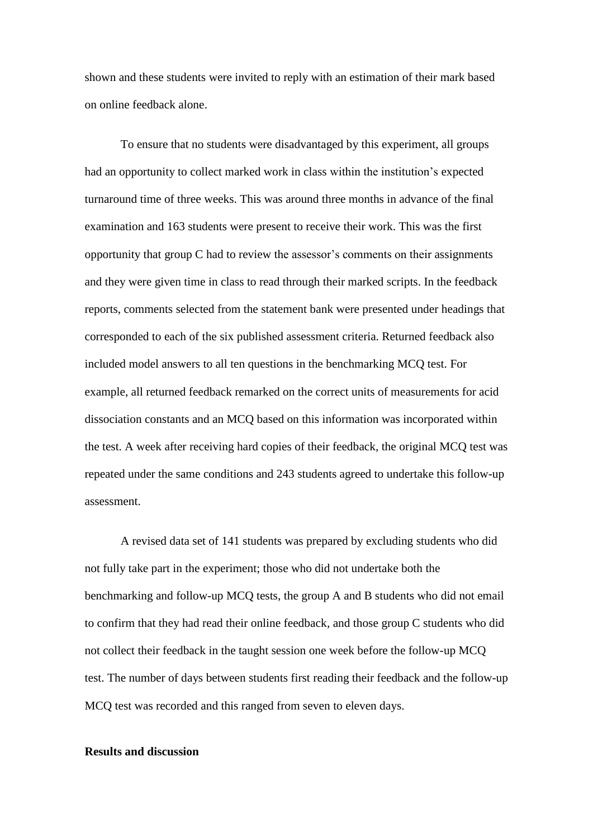shown and these students were invited to reply with an estimation of their mark based on online feedback alone.

To ensure that no students were disadvantaged by this experiment, all groups had an opportunity to collect marked work in class within the institution's expected turnaround time of three weeks. This was around three months in advance of the final examination and 163 students were present to receive their work. This was the first opportunity that group C had to review the assessor's comments on their assignments and they were given time in class to read through their marked scripts. In the feedback reports, comments selected from the statement bank were presented under headings that corresponded to each of the six published assessment criteria. Returned feedback also included model answers to all ten questions in the benchmarking MCQ test. For example, all returned feedback remarked on the correct units of measurements for acid dissociation constants and an MCQ based on this information was incorporated within the test. A week after receiving hard copies of their feedback, the original MCQ test was repeated under the same conditions and 243 students agreed to undertake this follow-up assessment.

A revised data set of 141 students was prepared by excluding students who did not fully take part in the experiment; those who did not undertake both the benchmarking and follow-up MCQ tests, the group A and B students who did not email to confirm that they had read their online feedback, and those group C students who did not collect their feedback in the taught session one week before the follow-up MCQ test. The number of days between students first reading their feedback and the follow-up MCQ test was recorded and this ranged from seven to eleven days.

#### **Results and discussion**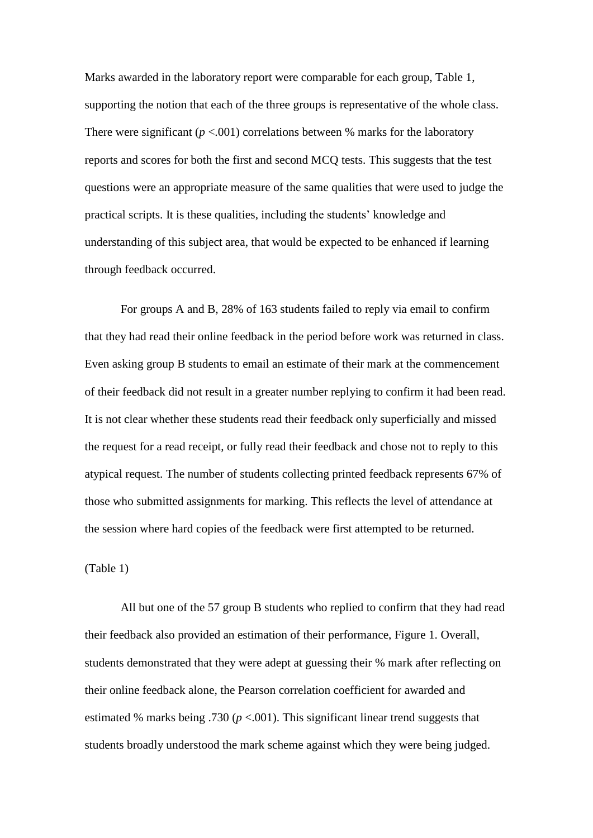Marks awarded in the laboratory report were comparable for each group, Table 1, supporting the notion that each of the three groups is representative of the whole class. There were significant  $(p < .001)$  correlations between % marks for the laboratory reports and scores for both the first and second MCQ tests. This suggests that the test questions were an appropriate measure of the same qualities that were used to judge the practical scripts. It is these qualities, including the students' knowledge and understanding of this subject area, that would be expected to be enhanced if learning through feedback occurred.

For groups A and B, 28% of 163 students failed to reply via email to confirm that they had read their online feedback in the period before work was returned in class. Even asking group B students to email an estimate of their mark at the commencement of their feedback did not result in a greater number replying to confirm it had been read. It is not clear whether these students read their feedback only superficially and missed the request for a read receipt, or fully read their feedback and chose not to reply to this atypical request. The number of students collecting printed feedback represents 67% of those who submitted assignments for marking. This reflects the level of attendance at the session where hard copies of the feedback were first attempted to be returned.

## (Table 1)

All but one of the 57 group B students who replied to confirm that they had read their feedback also provided an estimation of their performance, Figure 1. Overall, students demonstrated that they were adept at guessing their % mark after reflecting on their online feedback alone, the Pearson correlation coefficient for awarded and estimated % marks being .730 (*p* <.001). This significant linear trend suggests that students broadly understood the mark scheme against which they were being judged.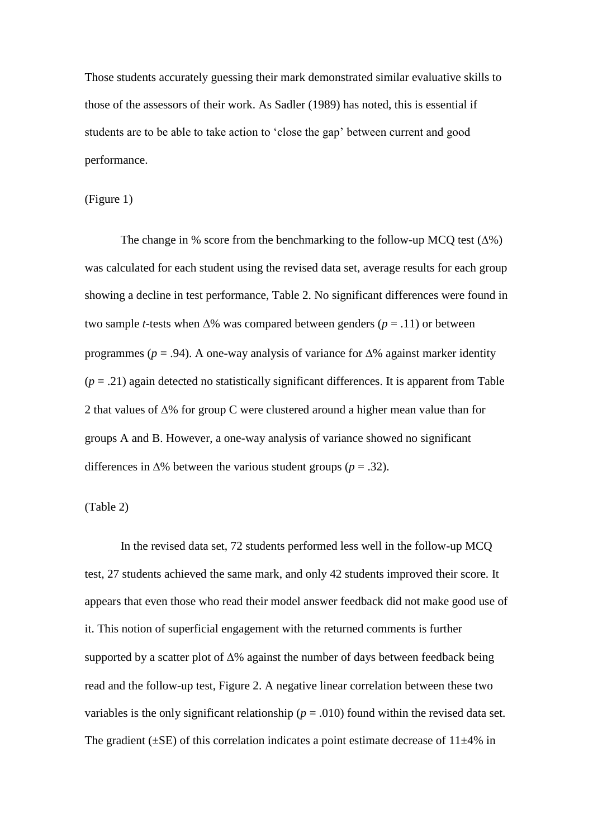Those students accurately guessing their mark demonstrated similar evaluative skills to those of the assessors of their work. As Sadler (1989) has noted, this is essential if students are to be able to take action to 'close the gap' between current and good performance.

### (Figure 1)

The change in % score from the benchmarking to the follow-up MCQ test  $(\Delta\%)$ was calculated for each student using the revised data set, average results for each group showing a decline in test performance, Table 2. No significant differences were found in two sample *t*-tests when  $\Delta\%$  was compared between genders ( $p = .11$ ) or between programmes ( $p = .94$ ). A one-way analysis of variance for  $\Delta$ % against marker identity  $(p = .21)$  again detected no statistically significant differences. It is apparent from Table 2 that values of  $\Delta\%$  for group C were clustered around a higher mean value than for groups A and B. However, a one-way analysis of variance showed no significant differences in  $\Delta\%$  between the various student groups ( $p = .32$ ).

#### (Table 2)

In the revised data set, 72 students performed less well in the follow-up MCQ test, 27 students achieved the same mark, and only 42 students improved their score. It appears that even those who read their model answer feedback did not make good use of it. This notion of superficial engagement with the returned comments is further supported by a scatter plot of  $\Delta\%$  against the number of days between feedback being read and the follow-up test, Figure 2. A negative linear correlation between these two variables is the only significant relationship ( $p = .010$ ) found within the revised data set. The gradient  $(\pm SE)$  of this correlation indicates a point estimate decrease of  $11\pm4\%$  in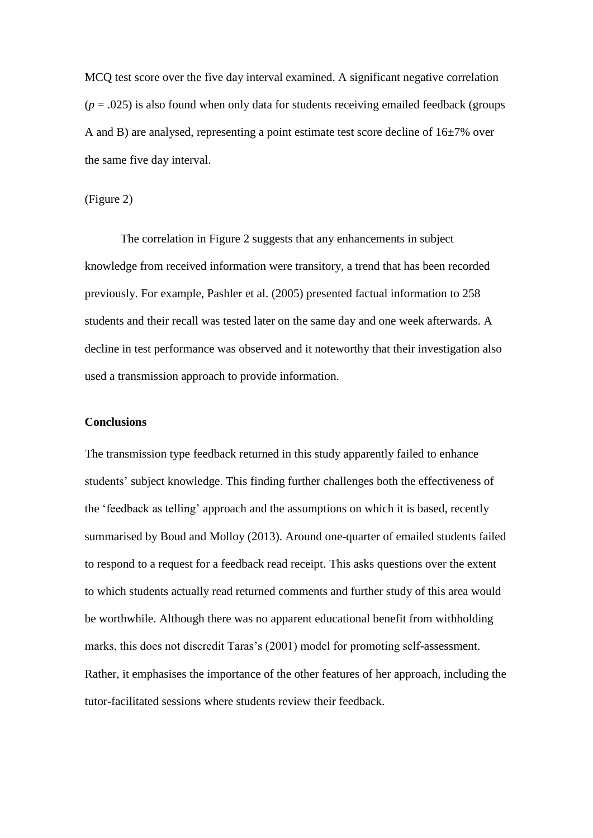MCQ test score over the five day interval examined. A significant negative correlation  $(p = .025)$  is also found when only data for students receiving emailed feedback (groups A and B) are analysed, representing a point estimate test score decline of 16±7% over the same five day interval.

## (Figure 2)

The correlation in Figure 2 suggests that any enhancements in subject knowledge from received information were transitory, a trend that has been recorded previously. For example, Pashler et al. (2005) presented factual information to 258 students and their recall was tested later on the same day and one week afterwards. A decline in test performance was observed and it noteworthy that their investigation also used a transmission approach to provide information.

### **Conclusions**

The transmission type feedback returned in this study apparently failed to enhance students' subject knowledge. This finding further challenges both the effectiveness of the 'feedback as telling' approach and the assumptions on which it is based, recently summarised by Boud and Molloy (2013). Around one-quarter of emailed students failed to respond to a request for a feedback read receipt. This asks questions over the extent to which students actually read returned comments and further study of this area would be worthwhile. Although there was no apparent educational benefit from withholding marks, this does not discredit Taras's (2001) model for promoting self-assessment. Rather, it emphasises the importance of the other features of her approach, including the tutor-facilitated sessions where students review their feedback.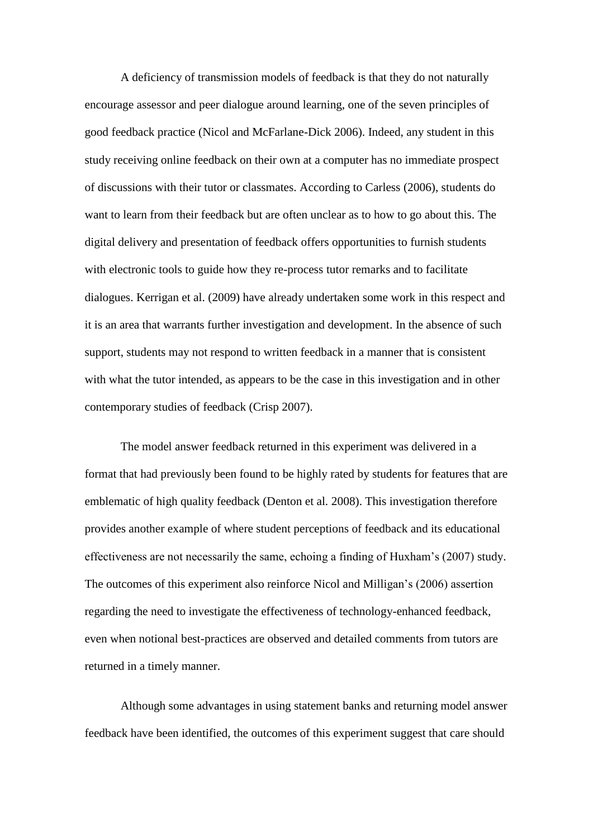A deficiency of transmission models of feedback is that they do not naturally encourage assessor and peer dialogue around learning, one of the seven principles of good feedback practice (Nicol and McFarlane-Dick 2006). Indeed, any student in this study receiving online feedback on their own at a computer has no immediate prospect of discussions with their tutor or classmates. According to Carless (2006), students do want to learn from their feedback but are often unclear as to how to go about this. The digital delivery and presentation of feedback offers opportunities to furnish students with electronic tools to guide how they re-process tutor remarks and to facilitate dialogues. Kerrigan et al. (2009) have already undertaken some work in this respect and it is an area that warrants further investigation and development. In the absence of such support, students may not respond to written feedback in a manner that is consistent with what the tutor intended, as appears to be the case in this investigation and in other contemporary studies of feedback (Crisp 2007).

The model answer feedback returned in this experiment was delivered in a format that had previously been found to be highly rated by students for features that are emblematic of high quality feedback (Denton et al*.* 2008). This investigation therefore provides another example of where student perceptions of feedback and its educational effectiveness are not necessarily the same, echoing a finding of Huxham's (2007) study. The outcomes of this experiment also reinforce Nicol and Milligan's (2006) assertion regarding the need to investigate the effectiveness of technology-enhanced feedback, even when notional best-practices are observed and detailed comments from tutors are returned in a timely manner.

Although some advantages in using statement banks and returning model answer feedback have been identified, the outcomes of this experiment suggest that care should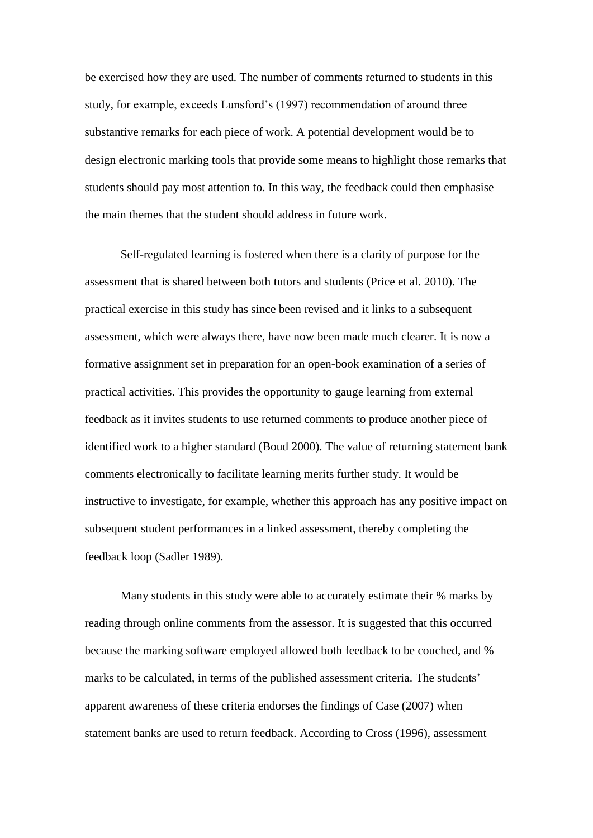be exercised how they are used. The number of comments returned to students in this study, for example, exceeds Lunsford's (1997) recommendation of around three substantive remarks for each piece of work. A potential development would be to design electronic marking tools that provide some means to highlight those remarks that students should pay most attention to. In this way, the feedback could then emphasise the main themes that the student should address in future work.

Self-regulated learning is fostered when there is a clarity of purpose for the assessment that is shared between both tutors and students (Price et al. 2010). The practical exercise in this study has since been revised and it links to a subsequent assessment, which were always there, have now been made much clearer. It is now a formative assignment set in preparation for an open-book examination of a series of practical activities. This provides the opportunity to gauge learning from external feedback as it invites students to use returned comments to produce another piece of identified work to a higher standard (Boud 2000). The value of returning statement bank comments electronically to facilitate learning merits further study. It would be instructive to investigate, for example, whether this approach has any positive impact on subsequent student performances in a linked assessment, thereby completing the feedback loop (Sadler 1989).

Many students in this study were able to accurately estimate their % marks by reading through online comments from the assessor. It is suggested that this occurred because the marking software employed allowed both feedback to be couched, and % marks to be calculated, in terms of the published assessment criteria. The students' apparent awareness of these criteria endorses the findings of Case (2007) when statement banks are used to return feedback. According to Cross (1996), assessment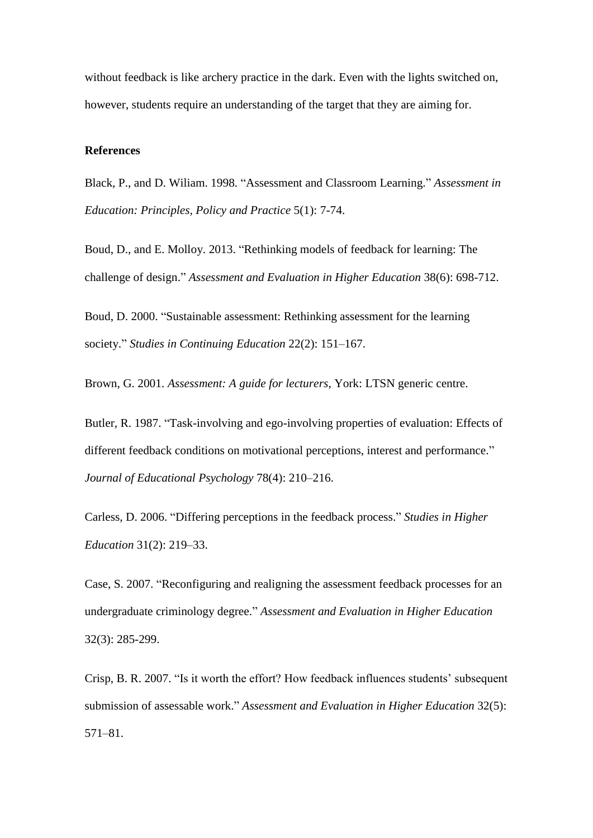without feedback is like archery practice in the dark. Even with the lights switched on, however, students require an understanding of the target that they are aiming for.

#### **References**

Black, P., and D. Wiliam. 1998. "Assessment and Classroom Learning." *Assessment in Education: Principles, Policy and Practice* 5(1): 7-74.

Boud, D., and E. Molloy. 2013. "Rethinking models of feedback for learning: The challenge of design." *Assessment and Evaluation in Higher Education* 38(6): 698-712.

Boud, D. 2000. "Sustainable assessment: Rethinking assessment for the learning society." *Studies in Continuing Education* 22(2): 151–167.

Brown, G. 2001. *Assessment: A guide for lecturers*, York: LTSN generic centre.

Butler, R. 1987. "Task-involving and ego-involving properties of evaluation: Effects of different feedback conditions on motivational perceptions, interest and performance." *Journal of Educational Psychology* 78(4): 210–216.

Carless, D. 2006. "Differing perceptions in the feedback process." *Studies in Higher Education* 31(2): 219–33.

Case, S. 2007. "Reconfiguring and realigning the assessment feedback processes for an undergraduate criminology degree." *Assessment and Evaluation in Higher Education* 32(3): 285-299.

Crisp, B. R. 2007. "Is it worth the effort? How feedback influences students' subsequent submission of assessable work." *Assessment and Evaluation in Higher Education* 32(5): 571–81.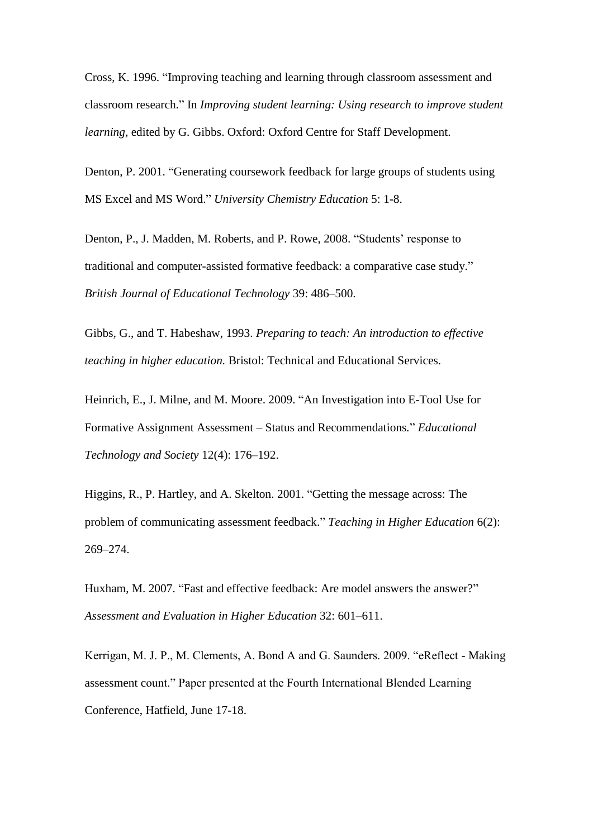Cross, K. 1996. "Improving teaching and learning through classroom assessment and classroom research." In *Improving student learning: Using research to improve student learning,* edited by G. Gibbs. Oxford: Oxford Centre for Staff Development.

Denton, P. 2001. "Generating coursework feedback for large groups of students using MS Excel and MS Word." *University Chemistry Education* 5: 1-8.

Denton, P., J. Madden, M. Roberts, and P. Rowe, 2008. "Students' response to traditional and computer-assisted formative feedback: a comparative case study." *British Journal of Educational Technology* 39: 486–500.

Gibbs, G., and T. Habeshaw, 1993. *Preparing to teach: An introduction to effective teaching in higher education.* Bristol: Technical and Educational Services.

Heinrich, E., J. Milne, and M. Moore. 2009. "An Investigation into E-Tool Use for Formative Assignment Assessment – Status and Recommendations*.*" *Educational Technology and Society* 12(4): 176–192.

Higgins, R., P. Hartley, and A. Skelton. 2001. "Getting the message across: The problem of communicating assessment feedback." *Teaching in Higher Education* 6(2): 269–274.

Huxham, M. 2007. "Fast and effective feedback: Are model answers the answer?" *Assessment and Evaluation in Higher Education* 32: 601–611.

Kerrigan, M. J. P., M. Clements, A. Bond A and G. Saunders. 2009. "eReflect - Making assessment count." Paper presented at the Fourth International Blended Learning Conference, Hatfield, June 17-18.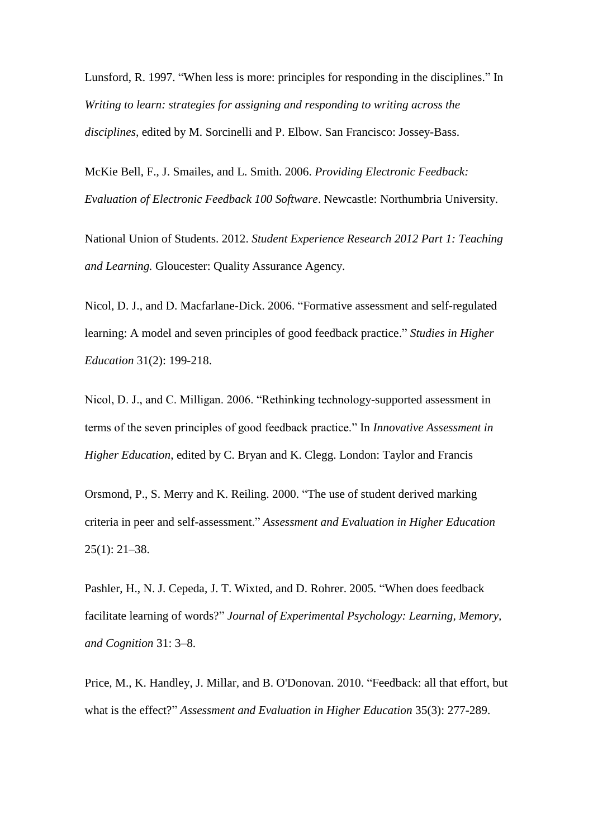Lunsford, R. 1997. "When less is more: principles for responding in the disciplines." In *Writing to learn: strategies for assigning and responding to writing across the disciplines,* edited by M. Sorcinelli and P. Elbow. San Francisco: Jossey-Bass.

McKie Bell, F., J. Smailes, and L. Smith. 2006. *Providing Electronic Feedback: Evaluation of Electronic Feedback 100 Software*. Newcastle: Northumbria University.

National Union of Students. 2012. *Student Experience Research 2012 Part 1: Teaching and Learning.* Gloucester: Quality Assurance Agency.

Nicol, D. J., and D. Macfarlane-Dick. 2006. "Formative assessment and self-regulated learning: A model and seven principles of good feedback practice." *Studies in Higher Education* 31(2): 199-218.

Nicol, D. J., and C. Milligan. 2006. "Rethinking technology-supported assessment in terms of the seven principles of good feedback practice." In *Innovative Assessment in Higher Education*, edited by C. Bryan and K. Clegg. London: Taylor and Francis

Orsmond, P., S. Merry and K. Reiling. 2000. "The use of student derived marking criteria in peer and self-assessment." *Assessment and Evaluation in Higher Education* 25(1): 21–38.

Pashler, H., N. J. Cepeda, J. T. Wixted, and D. Rohrer. 2005. "When does feedback facilitate learning of words?" *Journal of Experimental Psychology: Learning, Memory, and Cognition* 31: 3–8.

Price, M., K. Handley, J. Millar, and B. O'Donovan. 2010. "Feedback: all that effort, but what is the effect?" *Assessment and Evaluation in Higher Education* 35(3): 277-289.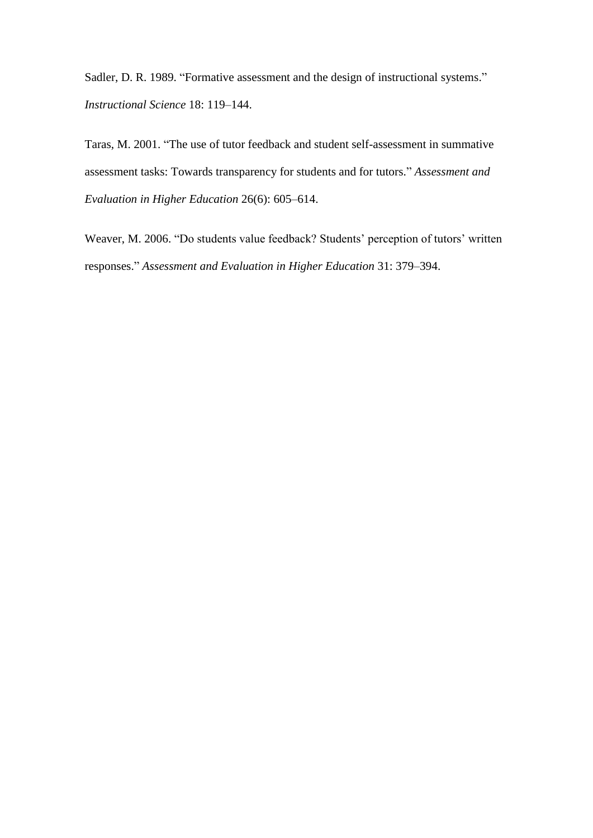Sadler, D. R. 1989. "Formative assessment and the design of instructional systems." *Instructional Science* 18: 119–144.

Taras, M. 2001. "The use of tutor feedback and student self-assessment in summative assessment tasks: Towards transparency for students and for tutors." *Assessment and Evaluation in Higher Education* 26(6): 605–614.

Weaver, M. 2006. "Do students value feedback? Students' perception of tutors' written responses." *Assessment and Evaluation in Higher Education* 31: 379–394.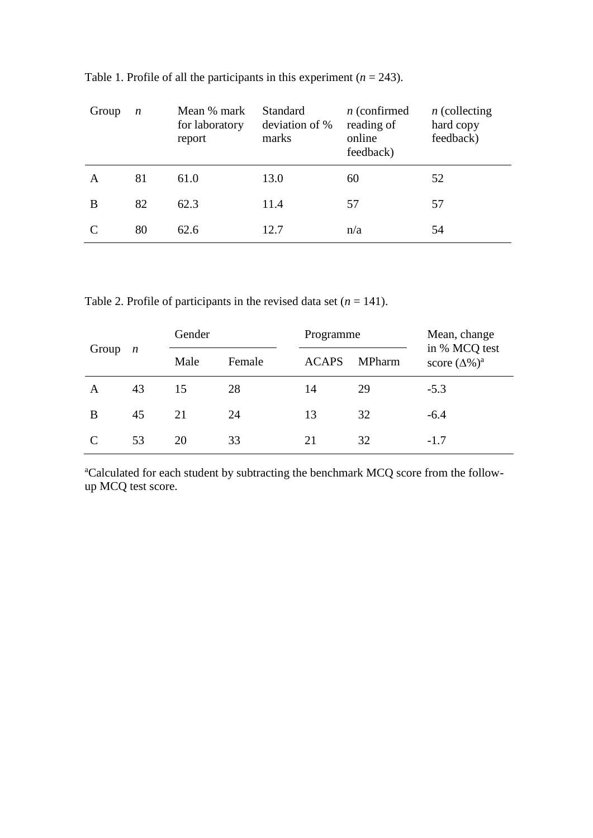| Group | n  | Mean % mark<br>for laboratory<br>report | Standard<br>deviation of %<br>marks | $n$ (confirmed<br>reading of<br>online<br>feedback) | $n$ (collecting<br>hard copy<br>feedback) |
|-------|----|-----------------------------------------|-------------------------------------|-----------------------------------------------------|-------------------------------------------|
| A     | 81 | 61.0                                    | 13.0                                | 60                                                  | 52                                        |
| B     | 82 | 62.3                                    | 11.4                                | 57                                                  | 57                                        |
|       | 80 | 62.6                                    | 12.7                                | n/a                                                 | 54                                        |

Table 1. Profile of all the participants in this experiment  $(n = 243)$ .

Table 2. Profile of participants in the revised data set  $(n = 141)$ .

| Group         | $\boldsymbol{n}$ | Gender |        | Programme    |               | Mean, change<br>in % MCQ test |
|---------------|------------------|--------|--------|--------------|---------------|-------------------------------|
|               |                  | Male   | Female | <b>ACAPS</b> | <b>MPharm</b> | score $(\Delta\%)^a$          |
| A             | 43               | 15     | 28     | 14           | 29            | $-5.3$                        |
| B             | 45               | 21     | 24     | 13           | 32            | $-6.4$                        |
| $\mathcal{C}$ | 53               | 20     | 33     | 21           | 32            | $-1.7$                        |

<sup>a</sup>Calculated for each student by subtracting the benchmark MCQ score from the followup MCQ test score.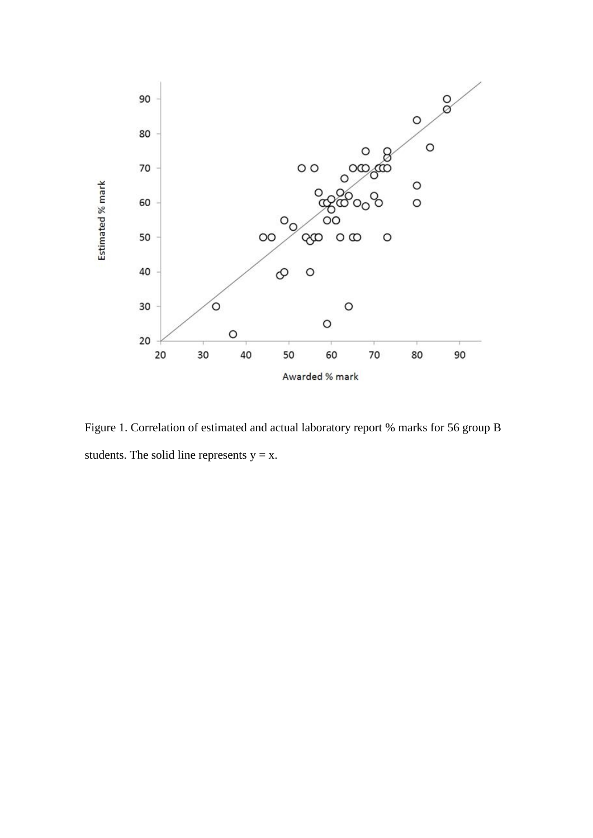

Figure 1. Correlation of estimated and actual laboratory report % marks for 56 group B students. The solid line represents  $y = x$ .